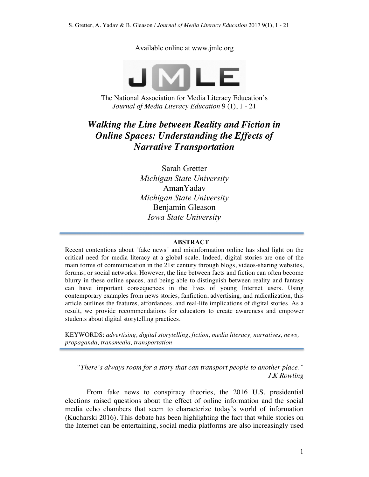Available online at www.jmle.org



The National Association for Media Literacy Education's *Journal of Media Literacy Education* 9 (1), 1 - 21

# *Walking the Line between Reality and Fiction in Online Spaces: Understanding the Effects of Narrative Transportation*

Sarah Gretter *Michigan State University* AmanYadav *Michigan State University* Benjamin Gleason *Iowa State University*

#### **ABSTRACT**

Recent contentions about "fake news" and misinformation online has shed light on the critical need for media literacy at a global scale. Indeed, digital stories are one of the main forms of communication in the 21st century through blogs, videos-sharing websites, forums, or social networks. However, the line between facts and fiction can often become blurry in these online spaces, and being able to distinguish between reality and fantasy can have important consequences in the lives of young Internet users. Using contemporary examples from news stories, fanfiction, advertising, and radicalization, this article outlines the features, affordances, and real-life implications of digital stories. As a result, we provide recommendations for educators to create awareness and empower students about digital storytelling practices.

KEYWORDS: *advertising, digital storytelling, fiction, media literacy, narratives, news, propaganda, transmedia, transportation*

*"There's always room for a story that can transport people to another place." J.K Rowling*

From fake news to conspiracy theories, the 2016 U.S. presidential elections raised questions about the effect of online information and the social media echo chambers that seem to characterize today's world of information (Kucharski 2016). This debate has been highlighting the fact that while stories on the Internet can be entertaining, social media platforms are also increasingly used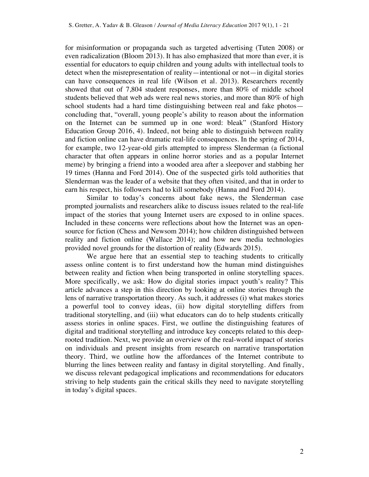for misinformation or propaganda such as targeted advertising (Tuten 2008) or even radicalization (Bloom 2013). It has also emphasized that more than ever, it is essential for educators to equip children and young adults with intellectual tools to detect when the misrepresentation of reality—intentional or not—in digital stories can have consequences in real life (Wilson et al. 2013). Researchers recently showed that out of 7,804 student responses, more than 80% of middle school students believed that web ads were real news stories, and more than 80% of high school students had a hard time distinguishing between real and fake photos concluding that, "overall, young people's ability to reason about the information on the Internet can be summed up in one word: bleak" (Stanford History Education Group 2016, 4). Indeed, not being able to distinguish between reality and fiction online can have dramatic real-life consequences. In the spring of 2014, for example, two 12-year-old girls attempted to impress Slenderman (a fictional character that often appears in online horror stories and as a popular Internet meme) by bringing a friend into a wooded area after a sleepover and stabbing her 19 times (Hanna and Ford 2014). One of the suspected girls told authorities that Slenderman was the leader of a website that they often visited, and that in order to earn his respect, his followers had to kill somebody (Hanna and Ford 2014).

Similar to today's concerns about fake news, the Slenderman case prompted journalists and researchers alike to discuss issues related to the real-life impact of the stories that young Internet users are exposed to in online spaces. Included in these concerns were reflections about how the Internet was an opensource for fiction (Chess and Newsom 2014); how children distinguished between reality and fiction online (Wallace 2014); and how new media technologies provided novel grounds for the distortion of reality (Edwards 2015).

We argue here that an essential step to teaching students to critically assess online content is to first understand how the human mind distinguishes between reality and fiction when being transported in online storytelling spaces. More specifically, we ask: How do digital stories impact youth's reality? This article advances a step in this direction by looking at online stories through the lens of narrative transportation theory. As such, it addresses (i) what makes stories a powerful tool to convey ideas, (ii) how digital storytelling differs from traditional storytelling, and (iii) what educators can do to help students critically assess stories in online spaces. First, we outline the distinguishing features of digital and traditional storytelling and introduce key concepts related to this deeprooted tradition. Next, we provide an overview of the real-world impact of stories on individuals and present insights from research on narrative transportation theory. Third, we outline how the affordances of the Internet contribute to blurring the lines between reality and fantasy in digital storytelling. And finally, we discuss relevant pedagogical implications and recommendations for educators striving to help students gain the critical skills they need to navigate storytelling in today's digital spaces.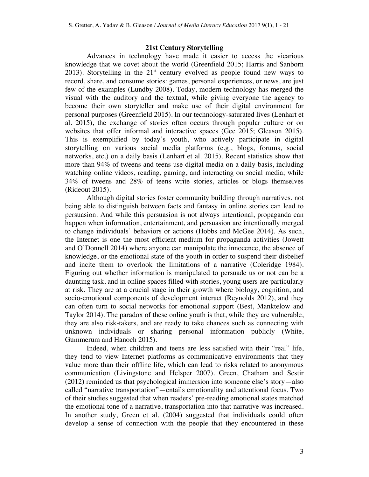#### **21st Century Storytelling**

Advances in technology have made it easier to access the vicarious knowledge that we covet about the world (Greenfield 2015; Harris and Sanborn 2013). Storytelling in the  $21<sup>st</sup>$  century evolved as people found new ways to record, share, and consume stories: games, personal experiences, or news, are just few of the examples (Lundby 2008). Today, modern technology has merged the visual with the auditory and the textual, while giving everyone the agency to become their own storyteller and make use of their digital environment for personal purposes (Greenfield 2015). In our technology-saturated lives (Lenhart et al. 2015), the exchange of stories often occurs through popular culture or on websites that offer informal and interactive spaces (Gee 2015; Gleason 2015). This is exemplified by today's youth, who actively participate in digital storytelling on various social media platforms (e.g., blogs, forums, social networks, etc.) on a daily basis (Lenhart et al. 2015). Recent statistics show that more than 94% of tweens and teens use digital media on a daily basis, including watching online videos, reading, gaming, and interacting on social media; while 34% of tweens and 28% of teens write stories, articles or blogs themselves (Rideout 2015).

Although digital stories foster community building through narratives, not being able to distinguish between facts and fantasy in online stories can lead to persuasion. And while this persuasion is not always intentional, propaganda can happen when information, entertainment, and persuasion are intentionally merged to change individuals' behaviors or actions (Hobbs and McGee 2014). As such, the Internet is one the most efficient medium for propaganda activities (Jowett and O'Donnell 2014) where anyone can manipulate the innocence, the absence of knowledge, or the emotional state of the youth in order to suspend their disbelief and incite them to overlook the limitations of a narrative (Coleridge 1984). Figuring out whether information is manipulated to persuade us or not can be a daunting task, and in online spaces filled with stories, young users are particularly at risk. They are at a crucial stage in their growth where biology, cognition, and socio-emotional components of development interact (Reynolds 2012), and they can often turn to social networks for emotional support (Best, Manktelow and Taylor 2014). The paradox of these online youth is that, while they are vulnerable, they are also risk-takers, and are ready to take chances such as connecting with unknown individuals or sharing personal information publicly (White, Gummerum and Hanoch 2015).

Indeed, when children and teens are less satisfied with their "real" life, they tend to view Internet platforms as communicative environments that they value more than their offline life, which can lead to risks related to anonymous communication (Livingstone and Helsper 2007). Green, Chatham and Sestir (2012) reminded us that psychological immersion into someone else's story—also called "narrative transportation"—entails emotionality and attentional focus. Two of their studies suggested that when readers' pre-reading emotional states matched the emotional tone of a narrative, transportation into that narrative was increased. In another study, Green et al. (2004) suggested that individuals could often develop a sense of connection with the people that they encountered in these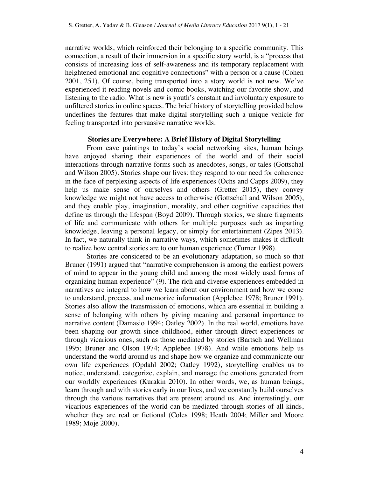narrative worlds, which reinforced their belonging to a specific community. This connection, a result of their immersion in a specific story world, is a "process that consists of increasing loss of self-awareness and its temporary replacement with heightened emotional and cognitive connections" with a person or a cause (Cohen 2001, 251). Of course, being transported into a story world is not new. We've experienced it reading novels and comic books, watching our favorite show, and listening to the radio. What is new is youth's constant and involuntary exposure to unfiltered stories in online spaces. The brief history of storytelling provided below underlines the features that make digital storytelling such a unique vehicle for feeling transported into persuasive narrative worlds.

#### **Stories are Everywhere: A Brief History of Digital Storytelling**

From cave paintings to today's social networking sites, human beings have enjoyed sharing their experiences of the world and of their social interactions through narrative forms such as anecdotes, songs, or tales (Gottschal and Wilson 2005). Stories shape our lives: they respond to our need for coherence in the face of perplexing aspects of life experiences (Ochs and Capps 2009), they help us make sense of ourselves and others (Gretter 2015), they convey knowledge we might not have access to otherwise (Gottschall and Wilson 2005), and they enable play, imagination, morality, and other cognitive capacities that define us through the lifespan (Boyd 2009). Through stories, we share fragments of life and communicate with others for multiple purposes such as imparting knowledge, leaving a personal legacy, or simply for entertainment (Zipes 2013). In fact, we naturally think in narrative ways, which sometimes makes it difficult to realize how central stories are to our human experience (Turner 1998).

Stories are considered to be an evolutionary adaptation, so much so that Bruner (1991) argued that "narrative comprehension is among the earliest powers of mind to appear in the young child and among the most widely used forms of organizing human experience" (9). The rich and diverse experiences embedded in narratives are integral to how we learn about our environment and how we come to understand, process, and memorize information (Applebee 1978; Bruner 1991). Stories also allow the transmission of emotions, which are essential in building a sense of belonging with others by giving meaning and personal importance to narrative content (Damasio 1994; Oatley 2002). In the real world, emotions have been shaping our growth since childhood, either through direct experiences or through vicarious ones, such as those mediated by stories (Bartsch and Wellman 1995; Bruner and Olson 1974; Applebee 1978). And while emotions help us understand the world around us and shape how we organize and communicate our own life experiences (Opdahl 2002; Oatley 1992), storytelling enables us to notice, understand, categorize, explain, and manage the emotions generated from our worldly experiences (Kurakin 2010). In other words, we, as human beings, learn through and with stories early in our lives, and we constantly build ourselves through the various narratives that are present around us. And interestingly, our vicarious experiences of the world can be mediated through stories of all kinds, whether they are real or fictional (Coles 1998; Heath 2004; Miller and Moore 1989; Moje 2000).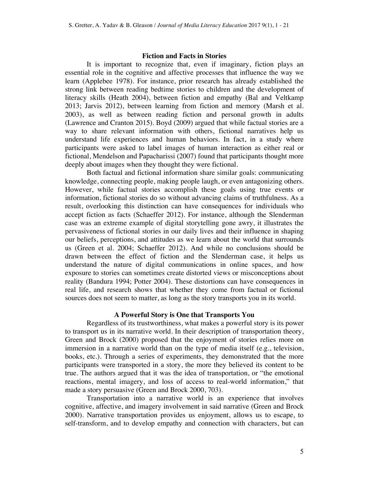#### **Fiction and Facts in Stories**

It is important to recognize that, even if imaginary, fiction plays an essential role in the cognitive and affective processes that influence the way we learn (Applebee 1978). For instance, prior research has already established the strong link between reading bedtime stories to children and the development of literacy skills (Heath 2004), between fiction and empathy (Bal and Veltkamp 2013; Jarvis 2012), between learning from fiction and memory (Marsh et al. 2003), as well as between reading fiction and personal growth in adults (Lawrence and Cranton 2015). Boyd (2009) argued that while factual stories are a way to share relevant information with others, fictional narratives help us understand life experiences and human behaviors. In fact, in a study where participants were asked to label images of human interaction as either real or fictional, Mendelson and Papacharissi (2007) found that participants thought more deeply about images when they thought they were fictional.

Both factual and fictional information share similar goals: communicating knowledge, connecting people, making people laugh, or even antagonizing others. However, while factual stories accomplish these goals using true events or information, fictional stories do so without advancing claims of truthfulness. As a result, overlooking this distinction can have consequences for individuals who accept fiction as facts (Schaeffer 2012). For instance, although the Slenderman case was an extreme example of digital storytelling gone awry, it illustrates the pervasiveness of fictional stories in our daily lives and their influence in shaping our beliefs, perceptions, and attitudes as we learn about the world that surrounds us (Green et al. 2004; Schaeffer 2012). And while no conclusions should be drawn between the effect of fiction and the Slenderman case, it helps us understand the nature of digital communications in online spaces, and how exposure to stories can sometimes create distorted views or misconceptions about reality (Bandura 1994; Potter 2004). These distortions can have consequences in real life, and research shows that whether they come from factual or fictional sources does not seem to matter, as long as the story transports you in its world.

#### **A Powerful Story is One that Transports You**

Regardless of its trustworthiness, what makes a powerful story is its power to transport us in its narrative world. In their description of transportation theory, Green and Brock (2000) proposed that the enjoyment of stories relies more on immersion in a narrative world than on the type of media itself (e.g., television, books, etc.). Through a series of experiments, they demonstrated that the more participants were transported in a story, the more they believed its content to be true. The authors argued that it was the idea of transportation, or "the emotional reactions, mental imagery, and loss of access to real-world information," that made a story persuasive (Green and Brock 2000, 703).

Transportation into a narrative world is an experience that involves cognitive, affective, and imagery involvement in said narrative (Green and Brock 2000). Narrative transportation provides us enjoyment, allows us to escape, to self-transform, and to develop empathy and connection with characters, but can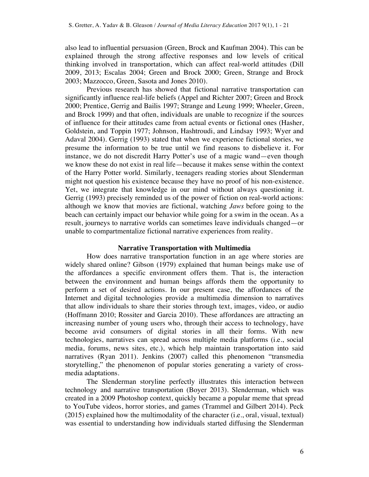also lead to influential persuasion (Green, Brock and Kaufman 2004). This can be explained through the strong affective responses and low levels of critical thinking involved in transportation, which can affect real-world attitudes (Dill 2009, 2013; Escalas 2004; Green and Brock 2000; Green, Strange and Brock 2003; Mazzocco, Green, Sasota and Jones 2010).

Previous research has showed that fictional narrative transportation can significantly influence real-life beliefs (Appel and Richter 2007; Green and Brock 2000; Prentice, Gerrig and Bailis 1997; Strange and Leung 1999; Wheeler, Green, and Brock 1999) and that often, individuals are unable to recognize if the sources of influence for their attitudes came from actual events or fictional ones (Hasher, Goldstein, and Toppin 1977; Johnson, Hashtroudi, and Lindsay 1993; Wyer and Adaval 2004). Gerrig (1993) stated that when we experience fictional stories, we presume the information to be true until we find reasons to disbelieve it. For instance, we do not discredit Harry Potter's use of a magic wand—even though we know these do not exist in real life—because it makes sense within the context of the Harry Potter world. Similarly, teenagers reading stories about Slenderman might not question his existence because they have no proof of his non-existence. Yet, we integrate that knowledge in our mind without always questioning it. Gerrig (1993) precisely reminded us of the power of fiction on real-world actions: although we know that movies are fictional, watching *Jaws* before going to the beach can certainly impact our behavior while going for a swim in the ocean. As a result, journeys to narrative worlds can sometimes leave individuals changed—or unable to compartmentalize fictional narrative experiences from reality.

#### **Narrative Transportation with Multimedia**

How does narrative transportation function in an age where stories are widely shared online? Gibson (1979) explained that human beings make use of the affordances a specific environment offers them. That is, the interaction between the environment and human beings affords them the opportunity to perform a set of desired actions. In our present case, the affordances of the Internet and digital technologies provide a multimedia dimension to narratives that allow individuals to share their stories through text, images, video, or audio (Hoffmann 2010; Rossiter and Garcia 2010). These affordances are attracting an increasing number of young users who, through their access to technology, have become avid consumers of digital stories in all their forms. With new technologies, narratives can spread across multiple media platforms (i.e., social media, forums, news sites, etc.), which help maintain transportation into said narratives (Ryan 2011). Jenkins (2007) called this phenomenon "transmedia storytelling," the phenomenon of popular stories generating a variety of crossmedia adaptations.

The Slenderman storyline perfectly illustrates this interaction between technology and narrative transportation (Boyer 2013). Slenderman, which was created in a 2009 Photoshop context, quickly became a popular meme that spread to YouTube videos, horror stories, and games (Trammel and Gilbert 2014). Peck (2015) explained how the multimodality of the character (i.e., oral, visual, textual) was essential to understanding how individuals started diffusing the Slenderman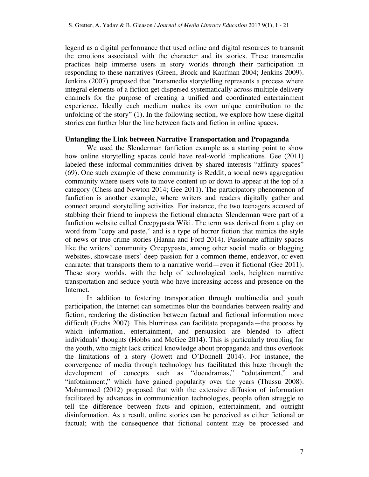legend as a digital performance that used online and digital resources to transmit the emotions associated with the character and its stories. These transmedia practices help immerse users in story worlds through their participation in responding to these narratives (Green, Brock and Kaufman 2004; Jenkins 2009). Jenkins (2007) proposed that "transmedia storytelling represents a process where integral elements of a fiction get dispersed systematically across multiple delivery channels for the purpose of creating a unified and coordinated entertainment experience. Ideally each medium makes its own unique contribution to the unfolding of the story" (1). In the following section, we explore how these digital stories can further blur the line between facts and fiction in online spaces.

#### **Untangling the Link between Narrative Transportation and Propaganda**

We used the Slenderman fanfiction example as a starting point to show how online storytelling spaces could have real-world implications. Gee (2011) labeled these informal communities driven by shared interests "affinity spaces" (69). One such example of these community is Reddit, a social news aggregation community where users vote to move content up or down to appear at the top of a category (Chess and Newton 2014; Gee 2011). The participatory phenomenon of fanfiction is another example, where writers and readers digitally gather and connect around storytelling activities. For instance, the two teenagers accused of stabbing their friend to impress the fictional character Slenderman were part of a fanfiction website called Creepypasta Wiki. The term was derived from a play on word from "copy and paste," and is a type of horror fiction that mimics the style of news or true crime stories (Hanna and Ford 2014). Passionate affinity spaces like the writers' community Creepypasta, among other social media or blogging websites, showcase users' deep passion for a common theme, endeavor, or even character that transports them to a narrative world—even if fictional (Gee 2011). These story worlds, with the help of technological tools, heighten narrative transportation and seduce youth who have increasing access and presence on the Internet.

In addition to fostering transportation through multimedia and youth participation, the Internet can sometimes blur the boundaries between reality and fiction, rendering the distinction between factual and fictional information more difficult (Fuchs 2007). This blurriness can facilitate propaganda—the process by which information, entertainment, and persuasion are blended to affect individuals' thoughts (Hobbs and McGee 2014). This is particularly troubling for the youth, who might lack critical knowledge about propaganda and thus overlook the limitations of a story (Jowett and O'Donnell 2014). For instance, the convergence of media through technology has facilitated this haze through the development of concepts such as "docudramas," "edutainment," and "infotainment," which have gained popularity over the years (Thussu 2008). Mohammed (2012) proposed that with the extensive diffusion of information facilitated by advances in communication technologies, people often struggle to tell the difference between facts and opinion, entertainment, and outright disinformation. As a result, online stories can be perceived as either fictional or factual; with the consequence that fictional content may be processed and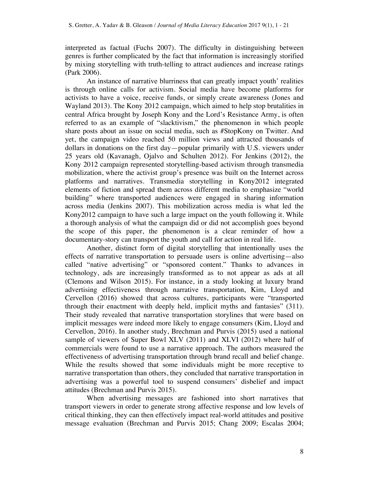interpreted as factual (Fuchs 2007). The difficulty in distinguishing between genres is further complicated by the fact that information is increasingly storified by mixing storytelling with truth-telling to attract audiences and increase ratings (Park 2006).

An instance of narrative blurriness that can greatly impact youth' realities is through online calls for activism. Social media have become platforms for activists to have a voice, receive funds, or simply create awareness (Jones and Wayland 2013). The Kony 2012 campaign, which aimed to help stop brutalities in central Africa brought by Joseph Kony and the Lord's Resistance Army, is often referred to as an example of "slacktivism," the phenomenon in which people share posts about an issue on social media, such as #StopKony on Twitter. And yet, the campaign video reached 50 million views and attracted thousands of dollars in donations on the first day—popular primarily with U.S. viewers under 25 years old (Kavanagh, Ojalvo and Schulten 2012). For Jenkins (2012), the Kony 2012 campaign represented storytelling-based activism through transmedia mobilization, where the activist group's presence was built on the Internet across platforms and narratives. Transmedia storytelling in Kony2012 integrated elements of fiction and spread them across different media to emphasize "world building" where transported audiences were engaged in sharing information across media (Jenkins 2007). This mobilization across media is what led the Kony2012 campaign to have such a large impact on the youth following it. While a thorough analysis of what the campaign did or did not accomplish goes beyond the scope of this paper, the phenomenon is a clear reminder of how a documentary-story can transport the youth and call for action in real life.

Another, distinct form of digital storytelling that intentionally uses the effects of narrative transportation to persuade users is online advertising—also called "native advertising" or "sponsored content." Thanks to advances in technology, ads are increasingly transformed as to not appear as ads at all (Clemons and Wilson 2015). For instance, in a study looking at luxury brand advertising effectiveness through narrative transportation, Kim, Lloyd and Cervellon (2016) showed that across cultures, participants were "transported through their enactment with deeply held, implicit myths and fantasies" (311). Their study revealed that narrative transportation storylines that were based on implicit messages were indeed more likely to engage consumers (Kim, Lloyd and Cervellon, 2016). In another study, Brechman and Purvis (2015) used a national sample of viewers of Super Bowl XLV (2011) and XLVI (2012) where half of commercials were found to use a narrative approach. The authors measured the effectiveness of advertising transportation through brand recall and belief change. While the results showed that some individuals might be more receptive to narrative transportation than others, they concluded that narrative transportation in advertising was a powerful tool to suspend consumers' disbelief and impact attitudes (Brechman and Purvis 2015).

When advertising messages are fashioned into short narratives that transport viewers in order to generate strong affective response and low levels of critical thinking, they can then effectively impact real-world attitudes and positive message evaluation (Brechman and Purvis 2015; Chang 2009; Escalas 2004;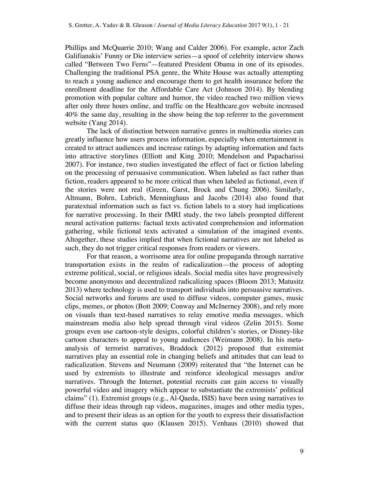Phillips and McQuarrie 2010; Wang and Calder 2006). For example, actor Zach Galifianakis' Funny or Die interview series—a spoof of celebrity interview shows called "Between Two Ferns"—featured President Obama in one of its episodes. Challenging the traditional PSA genre, the White House was actually attempting to reach a young audience and encourage them to get health insurance before the enrollment deadline for the Affordable Care Act (Johnson 2014). By blending promotion with popular culture and humor, the video reached two million views after only three hours online, and traffic on the Healthcare.gov website increased 40% the same day, resulting in the show being the top referrer to the government website (Yang 2014).

The lack of distinction between narrative genres in multimedia stories can greatly influence how users process information, especially when entertainment is created to attract audiences and increase ratings by adapting information and facts into attractive storylines (Elliott and King 2010; Mendelson and Papacharissi 2007). For instance, two studies investigated the effect of fact or fiction labeling on the processing of persuasive communication. When labeled as fact rather than fiction, readers appeared to be more critical than when labeled as fictional, even if the stories were not real (Green, Garst, Brock and Chung 2006). Similarly, Altmann, Bohrn, Lubrich, Menninghaus and Jacobs (2014) also found that paratextual information such as fact vs. fiction labels to a story had implications for narrative processing. In their fMRI study, the two labels prompted different neural activation patterns: factual texts activated comprehension and information gathering, while fictional texts activated a simulation of the imagined events. Altogether, these studies implied that when fictional narratives are not labeled as such, they do not trigger critical responses from readers or viewers.

For that reason, a worrisome area for online propaganda through narrative transportation exists in the realm of radicalization—the process of adopting extreme political, social, or religious ideals. Social media sites have progressively become anonymous and decentralized radicalizing spaces (Bloom 2013; Matusitz 2013) where technology is used to transport individuals into persuasive narratives. Social networks and forums are used to diffuse videos, computer games, music clips, memes, or photos (Bott 2009; Conway and McInerney 2008), and rely more on visuals than text-based narratives to relay emotive media messages, which mainstream media also help spread through viral videos (Zelin 2015). Some groups even use cartoon-style designs, colorful children's stories, or Disney-like cartoon characters to appeal to young audiences (Weimann 2008). In his metaanalysis of terrorist narratives, Braddock (2012) proposed that extremist narratives play an essential role in changing beliefs and attitudes that can lead to radicalization. Stevens and Neumann (2009) reiterated that "the Internet can be used by extremists to illustrate and reinforce ideological messages and/or narratives. Through the Internet, potential recruits can gain access to visually powerful video and imagery which appear to substantiate the extremists' political claims" (1). Extremist groups (e.g., Al-Qaeda, ISIS) have been using narratives to diffuse their ideas through rap videos, magazines, images and other media types, and to present their ideas as an option for the youth to express their dissatisfaction with the current status quo (Klausen 2015). Venhaus (2010) showed that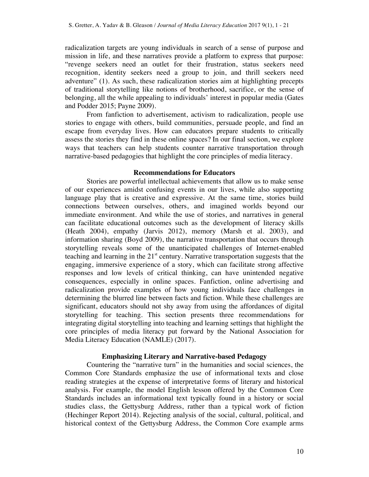radicalization targets are young individuals in search of a sense of purpose and mission in life, and these narratives provide a platform to express that purpose: "revenge seekers need an outlet for their frustration, status seekers need recognition, identity seekers need a group to join, and thrill seekers need adventure" (1). As such, these radicalization stories aim at highlighting precepts of traditional storytelling like notions of brotherhood, sacrifice, or the sense of belonging, all the while appealing to individuals' interest in popular media (Gates and Podder 2015; Payne 2009).

From fanfiction to advertisement, activism to radicalization, people use stories to engage with others, build communities, persuade people, and find an escape from everyday lives. How can educators prepare students to critically assess the stories they find in these online spaces? In our final section, we explore ways that teachers can help students counter narrative transportation through narrative-based pedagogies that highlight the core principles of media literacy.

#### **Recommendations for Educators**

Stories are powerful intellectual achievements that allow us to make sense of our experiences amidst confusing events in our lives, while also supporting language play that is creative and expressive. At the same time, stories build connections between ourselves, others, and imagined worlds beyond our immediate environment. And while the use of stories, and narratives in general can facilitate educational outcomes such as the development of literacy skills (Heath 2004), empathy (Jarvis 2012), memory (Marsh et al. 2003), and information sharing (Boyd 2009), the narrative transportation that occurs through storytelling reveals some of the unanticipated challenges of Internet-enabled teaching and learning in the  $21<sup>st</sup>$  century. Narrative transportation suggests that the engaging, immersive experience of a story, which can facilitate strong affective responses and low levels of critical thinking, can have unintended negative consequences, especially in online spaces. Fanfiction, online advertising and radicalization provide examples of how young individuals face challenges in determining the blurred line between facts and fiction. While these challenges are significant, educators should not shy away from using the affordances of digital storytelling for teaching. This section presents three recommendations for integrating digital storytelling into teaching and learning settings that highlight the core principles of media literacy put forward by the National Association for Media Literacy Education (NAMLE) (2017).

#### **Emphasizing Literary and Narrative-based Pedagogy**

Countering the "narrative turn" in the humanities and social sciences, the Common Core Standards emphasize the use of informational texts and close reading strategies at the expense of interpretative forms of literary and historical analysis. For example, the model English lesson offered by the Common Core Standards includes an informational text typically found in a history or social studies class, the Gettysburg Address, rather than a typical work of fiction (Hechinger Report 2014). Rejecting analysis of the social, cultural, political, and historical context of the Gettysburg Address, the Common Core example arms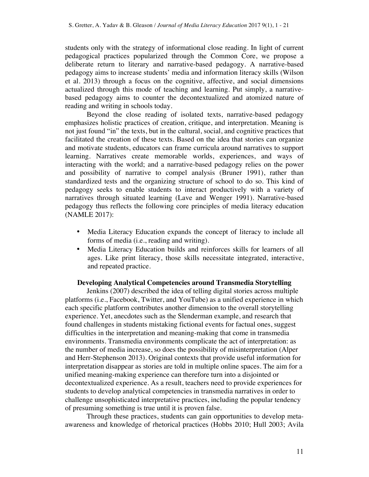students only with the strategy of informational close reading. In light of current pedagogical practices popularized through the Common Core, we propose a deliberate return to literary and narrative-based pedagogy. A narrative-based pedagogy aims to increase students' media and information literacy skills (Wilson et al. 2013) through a focus on the cognitive, affective, and social dimensions actualized through this mode of teaching and learning. Put simply, a narrativebased pedagogy aims to counter the decontextualized and atomized nature of reading and writing in schools today.

Beyond the close reading of isolated texts, narrative-based pedagogy emphasizes holistic practices of creation, critique, and interpretation. Meaning is not just found "in" the texts, but in the cultural, social, and cognitive practices that facilitated the creation of these texts. Based on the idea that stories can organize and motivate students, educators can frame curricula around narratives to support learning. Narratives create memorable worlds, experiences, and ways of interacting with the world; and a narrative-based pedagogy relies on the power and possibility of narrative to compel analysis (Bruner 1991), rather than standardized tests and the organizing structure of school to do so. This kind of pedagogy seeks to enable students to interact productively with a variety of narratives through situated learning (Lave and Wenger 1991). Narrative-based pedagogy thus reflects the following core principles of media literacy education (NAMLE 2017):

- Media Literacy Education expands the concept of literacy to include all forms of media (i.e., reading and writing).
- Media Literacy Education builds and reinforces skills for learners of all ages. Like print literacy, those skills necessitate integrated, interactive, and repeated practice.

#### **Developing Analytical Competencies around Transmedia Storytelling**

Jenkins (2007) described the idea of telling digital stories across multiple platforms (i.e., Facebook, Twitter, and YouTube) as a unified experience in which each specific platform contributes another dimension to the overall storytelling experience. Yet, anecdotes such as the Slenderman example, and research that found challenges in students mistaking fictional events for factual ones, suggest difficulties in the interpretation and meaning-making that come in transmedia environments. Transmedia environments complicate the act of interpretation: as the number of media increase, so does the possibility of misinterpretation (Alper and Herr-Stephenson 2013). Original contexts that provide useful information for interpretation disappear as stories are told in multiple online spaces. The aim for a unified meaning-making experience can therefore turn into a disjointed or decontextualized experience. As a result, teachers need to provide experiences for students to develop analytical competencies in transmedia narratives in order to challenge unsophisticated interpretative practices, including the popular tendency of presuming something is true until it is proven false.

Through these practices, students can gain opportunities to develop metaawareness and knowledge of rhetorical practices (Hobbs 2010; Hull 2003; Avila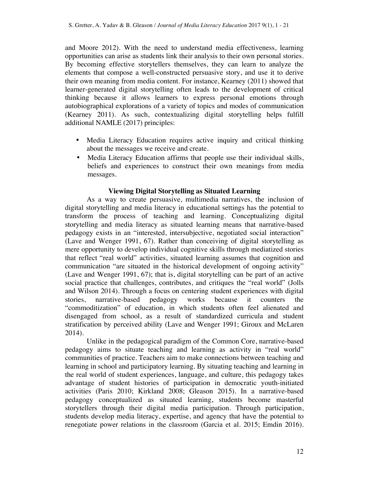and Moore 2012). With the need to understand media effectiveness, learning opportunities can arise as students link their analysis to their own personal stories. By becoming effective storytellers themselves, they can learn to analyze the elements that compose a well-constructed persuasive story, and use it to derive their own meaning from media content. For instance, Kearney (2011) showed that learner-generated digital storytelling often leads to the development of critical thinking because it allows learners to express personal emotions through autobiographical explorations of a variety of topics and modes of communication (Kearney 2011). As such, contextualizing digital storytelling helps fulfill additional NAMLE (2017) principles:

- Media Literacy Education requires active inquiry and critical thinking about the messages we receive and create.
- Media Literacy Education affirms that people use their individual skills, beliefs and experiences to construct their own meanings from media messages.

## **Viewing Digital Storytelling as Situated Learning**

As a way to create persuasive, multimedia narratives, the inclusion of digital storytelling and media literacy in educational settings has the potential to transform the process of teaching and learning. Conceptualizing digital storytelling and media literacy as situated learning means that narrative-based pedagogy exists in an "interested, intersubjective, negotiated social interaction" (Lave and Wenger 1991, 67). Rather than conceiving of digital storytelling as mere opportunity to develop individual cognitive skills through mediatized stories that reflect "real world" activities, situated learning assumes that cognition and communication "are situated in the historical development of ongoing activity" (Lave and Wenger 1991, 67); that is, digital storytelling can be part of an active social practice that challenges, contributes, and critiques the "real world" (Jolls and Wilson 2014). Through a focus on centering student experiences with digital stories, narrative-based pedagogy works because it counters the "commoditization" of education, in which students often feel alienated and disengaged from school, as a result of standardized curricula and student stratification by perceived ability (Lave and Wenger 1991; Giroux and McLaren 2014).

Unlike in the pedagogical paradigm of the Common Core, narrative-based pedagogy aims to situate teaching and learning as activity in "real world" communities of practice. Teachers aim to make connections between teaching and learning in school and participatory learning. By situating teaching and learning in the real world of student experiences, language, and culture, this pedagogy takes advantage of student histories of participation in democratic youth-initiated activities (Paris 2010; Kirkland 2008; Gleason 2015). In a narrative-based pedagogy conceptualized as situated learning, students become masterful storytellers through their digital media participation. Through participation, students develop media literacy, expertise, and agency that have the potential to renegotiate power relations in the classroom (Garcia et al. 2015; Emdin 2016).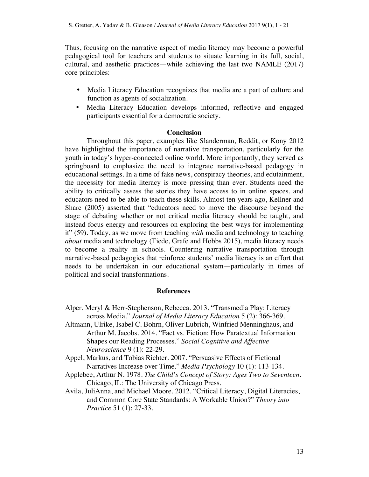Thus, focusing on the narrative aspect of media literacy may become a powerful pedagogical tool for teachers and students to situate learning in its full, social, cultural, and aesthetic practices—while achieving the last two NAMLE (2017) core principles:

- Media Literacy Education recognizes that media are a part of culture and function as agents of socialization.
- Media Literacy Education develops informed, reflective and engaged participants essential for a democratic society.

### **Conclusion**

Throughout this paper, examples like Slanderman, Reddit, or Kony 2012 have highlighted the importance of narrative transportation, particularly for the youth in today's hyper-connected online world. More importantly, they served as springboard to emphasize the need to integrate narrative-based pedagogy in educational settings. In a time of fake news, conspiracy theories, and edutainment, the necessity for media literacy is more pressing than ever. Students need the ability to critically assess the stories they have access to in online spaces, and educators need to be able to teach these skills. Almost ten years ago, Kellner and Share (2005) asserted that "educators need to move the discourse beyond the stage of debating whether or not critical media literacy should be taught, and instead focus energy and resources on exploring the best ways for implementing it" (59). Today, as we move from teaching *with* media and technology to teaching *about* media and technology (Tiede, Grafe and Hobbs 2015), media literacy needs to become a reality in schools. Countering narrative transportation through narrative-based pedagogies that reinforce students' media literacy is an effort that needs to be undertaken in our educational system—particularly in times of political and social transformations.

#### **References**

- Alper, Meryl & Herr-Stephenson, Rebecca. 2013. "Transmedia Play: Literacy across Media." *Journal of Media Literacy Education* 5 (2): 366-369.
- Altmann, Ulrike, Isabel C. Bohrn, Oliver Lubrich, Winfried Menninghaus, and Arthur M. Jacobs. 2014. "Fact vs. Fiction: How Paratextual Information Shapes our Reading Processes." *Social Cognitive and Affective Neuroscience* 9 (1): 22-29.
- Appel, Markus, and Tobias Richter. 2007. "Persuasive Effects of Fictional Narratives Increase over Time." *Media Psychology* 10 (1): 113-134.
- Applebee, Arthur N. 1978. *The Child's Concept of Story: Ages Two to Seventeen*. Chicago, IL: The University of Chicago Press.
- Avila, JuliAnna, and Michael Moore. 2012. "Critical Literacy, Digital Literacies, and Common Core State Standards: A Workable Union?" *Theory into Practice* 51 (1): 27-33.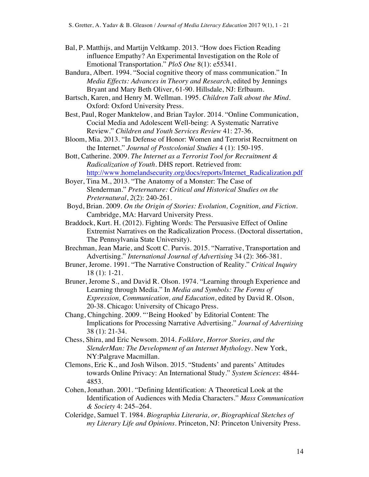- Bal, P. Matthijs, and Martijn Veltkamp. 2013. "How does Fiction Reading influence Empathy? An Experimental Investigation on the Role of Emotional Transportation." *PloS One* 8(1): e55341.
- Bandura, Albert. 1994. "Social cognitive theory of mass communication." In *Media Effects: Advances in Theory and Research*, edited by Jennings Bryant and Mary Beth Oliver, 61-90. Hillsdale, NJ: Erlbaum.
- Bartsch, Karen, and Henry M. Wellman. 1995. *Children Talk about the Mind*. Oxford: Oxford University Press.
- Best, Paul, Roger Manktelow, and Brian Taylor. 2014. "Online Communication, Cocial Media and Adolescent Well-being: A Systematic Narrative Review." *Children and Youth Services Review* 41: 27-36.
- Bloom, Mia. 2013. "In Defense of Honor: Women and Terrorist Recruitment on the Internet." *Journal of Postcolonial Studies* 4 (1): 150-195.
- Bott, Catherine. 2009. *The Internet as a Terrorist Tool for Recruitment & Radicalization of Youth*. DHS report. Retrieved from: http://www.homelandsecurity.org/docs/reports/Internet\_Radicalization.pdf
- Boyer, Tina M., 2013. "The Anatomy of a Monster: The Case of Slenderman." *Preternature: Critical and Historical Studies on the Preternatural*, *2*(2): 240-261.
- Boyd, Brian. 2009. *On the Origin of Stories: Evolution, Cognition, and Fiction*. Cambridge, MA: Harvard University Press.
- Braddock, Kurt. H. (2012). Fighting Words: The Persuasive Effect of Online Extremist Narratives on the Radicalization Process. (Doctoral dissertation, The Pennsylvania State University).
- Brechman, Jean Marie, and Scott C. Purvis. 2015. "Narrative, Transportation and Advertising." *International Journal of Advertising* 34 (2): 366-381.
- Bruner, Jerome. 1991. "The Narrative Construction of Reality." *Critical Inquiry* 18 (1): 1-21.
- Bruner, Jerome S., and David R. Olson. 1974. "Learning through Experience and Learning through Media." In *Media and Symbols: The Forms of Expression, Communication, and Education*, edited by David R. Olson, 20-38. Chicago: University of Chicago Press.
- Chang, Chingching. 2009. "'Being Hooked' by Editorial Content: The Implications for Processing Narrative Advertising." *Journal of Advertising* 38 (1): 21-34.
- Chess, Shira, and Eric Newsom. 2014. *Folklore, Horror Stories, and the SlenderMan: The Development of an Internet Mythology*. New York, NY:Palgrave Macmillan.
- Clemons, Eric K., and Josh Wilson. 2015. "Students' and parents' Attitudes towards Online Privacy: An International Study." *System Sciences*: 4844- 4853.
- Cohen, Jonathan. 2001. "Defining Identification: A Theoretical Look at the Identification of Audiences with Media Characters." *Mass Communication & Society* 4: 245–264.
- Coleridge, Samuel T. 1984. *Biographia Literaria, or, Biographical Sketches of my Literary Life and Opinions*. Princeton, NJ: Princeton University Press.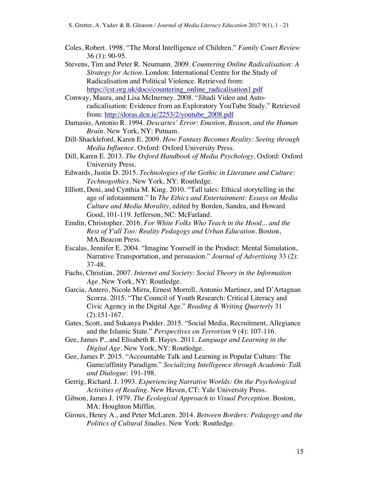- Coles, Robert. 1998. "The Moral Intelligence of Children." *Family Court Review* 36 (1): 90-95.
- Stevens, Tim and Peter R. Neumann. 2009. *Countering Online Radicalisation: A Strategy for Action*. London: International Centre for the Study of Radicalisation and Political Violence. Retrieved from: https://cst.org.uk/docs/countering\_online\_radicalisation1.pdf
- Conway, Maura, and Lisa McInerney. 2008. "Jihadi Video and Autoradicalisation: Evidence from an Exploratory YouTube Study." Retrieved from: http://doras.dcu.ie/2253/2/youtube\_2008.pdf
- Damasio, Antonio R. 1994. *Descartes' Error: Emotion, Reason, and the Human Brain*. New York, NY: Putnam.
- Dill-Shackleford, Karen E. 2009. *How Fantasy Becomes Reality: Seeing through Media Influence*. Oxford: Oxford University Press.
- Dill, Karen E. 2013. *The Oxford Handbook of Media Psychology*. Oxford: Oxford University Press.
- Edwards, Justin D. 2015. *Technologies of the Gothic in Literature and Culture: Technogothics*. New York, NY: Routledge.
- Elliott, Deni, and Cynthia M. King. 2010. "Tall tales: Ethical storytelling in the age of infotainment." In *The Ethics and Entertainment: Essays on Media Culture and Media Morality*, edited by Borden, Sandra, and Howard Good, 101-119. Jefferson, NC: McFarland.
- Emdin, Christopher. 2016. *For White Folks Who Teach in the Hood... and the Rest of Y'all Too: Reality Pedagogy and Urban Education*. Boston, MA:Beacon Press.
- Escalas, Jennifer E. 2004. "Imagine Yourself in the Product: Mental Simulation, Narrative Transportation, and persuasion." *Journal of Advertising* 33 (2): 37-48.
- Fuchs, Christian. 2007. *Internet and Society: Social Theory in the Information Age*. New York, NY: Routledge.
- Garcia, Antero, Nicole Mirra, Ernest Morrell, Antonio Martinez, and D'Artagnan Scorza. 2015. "The Council of Youth Research: Critical Literacy and Civic Agency in the Digital Age." *Reading & Writing Quarterly* 31 (2):151-167.
- Gates, Scott, and Sukanya Podder. 2015. "Social Media, Recruitment, Allegiance and the Islamic State." *Perspectives on Terrorism* 9 (4): 107-116.
- Gee, James P., and Elisabeth R. Hayes. 2011. *Language and Learning in the Digital Age*. New York, NY: Routledge.
- Gee, James P. 2015. "Accountable Talk and Learning in Popular Culture: The Game/affinity Paradigm." *Socializing Intelligence through Academic Talk and Dialogue*: 191-198.
- Gerrig, Richard. J. 1993. *Experiencing Narrative Worlds: On the Psychological Activities of Reading*. New Haven, CT: Yale University Press.
- Gibson, James J. 1979. *The Ecological Approach to Visual Perception*. Boston, MA: Houghton Mifflin.
- Giroux, Henry A., and Peter McLaren. 2014. *Between Borders: Pedagogy and the Politics of Cultural Studies*. New York: Routledge.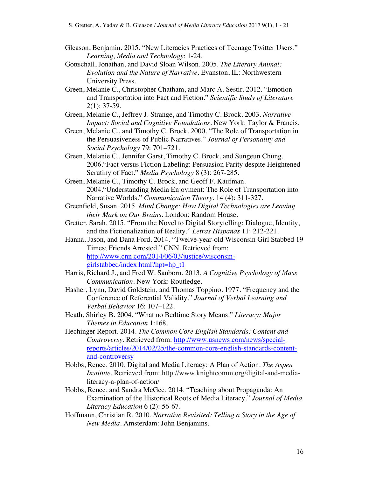- Gleason, Benjamin. 2015. "New Literacies Practices of Teenage Twitter Users." *Learning, Media and Technology*: 1-24.
- Gottschall, Jonathan, and David Sloan Wilson. 2005. *The Literary Animal: Evolution and the Nature of Narrative*. Evanston, IL: Northwestern University Press.
- Green, Melanie C., Christopher Chatham, and Marc A. Sestir. 2012. "Emotion and Transportation into Fact and Fiction." *Scientific Study of Literature*  $2(1): 37-59.$
- Green, Melanie C., Jeffrey J. Strange, and Timothy C. Brock. 2003. *Narrative Impact: Social and Cognitive Foundations*. New York: Taylor & Francis.
- Green, Melanie C., and Timothy C. Brock. 2000. "The Role of Transportation in the Persuasiveness of Public Narratives." *Journal of Personality and Social Psychology* 79: 701–721.
- Green, Melanie C., Jennifer Garst, Timothy C. Brock, and Sungeun Chung. 2006."Fact versus Fiction Labeling: Persuasion Parity despite Heightened Scrutiny of Fact." *Media Psychology* 8 (3): 267-285.
- Green, Melanie C., Timothy C. Brock, and Geoff F. Kaufman. 2004."Understanding Media Enjoyment: The Role of Transportation into Narrative Worlds." *Communication Theory*, 14 (4): 311-327.
- Greenfield, Susan. 2015. *Mind Change: How Digital Technologies are Leaving their Mark on Our Brains*. London: Random House.
- Gretter, Sarah. 2015. "From the Novel to Digital Storytelling: Dialogue, Identity, and the Fictionalization of Reality." *Letras Hispanas* 11: 212-221.
- Hanna, Jason, and Dana Ford. 2014. "Twelve-year-old Wisconsin Girl Stabbed 19 Times; Friends Arrested." CNN. Retrieved from: http://www.cnn.com/2014/06/03/justice/wisconsingirlstabbed/index.html?hpt=hp\_t1
- Harris, Richard J., and Fred W. Sanborn. 2013. *A Cognitive Psychology of Mass Communication*. New York: Routledge.
- Hasher, Lynn, David Goldstein, and Thomas Toppino. 1977. "Frequency and the Conference of Referential Validity." *Journal of Verbal Learning and Verbal Behavior* 16: 107–122.
- Heath, Shirley B. 2004. "What no Bedtime Story Means." *Literacy: Major Themes in Education* 1:168.
- Hechinger Report. 2014. *The Common Core English Standards: Content and Controversy*. Retrieved from: http://www.usnews.com/news/specialreports/articles/2014/02/25/the-common-core-english-standards-contentand-controversy
- Hobbs, Renee. 2010. Digital and Media Literacy: A Plan of Action. *The Aspen Institute*. Retrieved from: http://www.knightcomm.org/digital-and-medialiteracy-a-plan-of-action/
- Hobbs, Renee, and Sandra McGee. 2014. "Teaching about Propaganda: An Examination of the Historical Roots of Media Literacy." *Journal of Media Literacy Education* 6 (2): 56-67.
- Hoffmann, Christian R. 2010. *Narrative Revisited: Telling a Story in the Age of New Media*. Amsterdam: John Benjamins.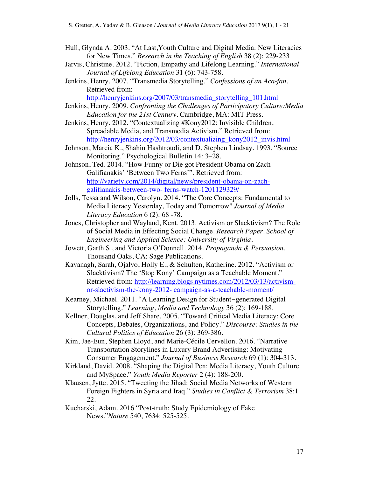- Hull, Glynda A. 2003. "At Last,Youth Culture and Digital Media: New Literacies for New Times." *Research in the Teaching of English* 38 (2): 229-233
- Jarvis, Christine. 2012. "Fiction, Empathy and Lifelong Learning." *International Journal of Lifelong Education* 31 (6): 743-758.
- Jenkins, Henry. 2007. "Transmedia Storytelling." *Confessions of an Aca-fan*. Retrieved from:

http://henryjenkins.org/2007/03/transmedia\_storytelling\_101.html

- Jenkins, Henry. 2009. *Confronting the Challenges of Participatory Culture:Media Education for the 21st Century*. Cambridge, MA: MIT Press.
- Jenkins, Henry. 2012. "Contextualizing #Kony2012: Invisible Children, Spreadable Media, and Transmedia Activism." Retrieved from: http://henryjenkins.org/2012/03/contextualizing kony2012 invis.html
- Johnson, Marcia K., Shahin Hashtroudi, and D. Stephen Lindsay. 1993. "Source Monitoring." Psychological Bulletin 14: 3–28.
- Johnson, Ted. 2014. "How Funny or Die got President Obama on Zach Galifianakis' 'Between Two Ferns'". Retrieved from: http://variety.com/2014/digital/news/president-obama-on-zachgalifianakis-between-two- ferns-watch-1201129329/
- Jolls, Tessa and Wilson, Carolyn. 2014. "The Core Concepts: Fundamental to Media Literacy Yesterday, Today and Tomorrow" *Journal of Media Literacy Education* 6 (2): 68 -78.
- Jones, Christopher and Wayland, Kent. 2013. Activism or Slacktivism? The Role of Social Media in Effecting Social Change. *Research Paper. School of Engineering and Applied Science: University of Virginia*.
- Jowett, Garth S., and Victoria O'Donnell. 2014. *Propaganda & Persuasion*. Thousand Oaks, CA: Sage Publications.
- Kavanagh, Sarah, Ojalvo, Holly E., & Schulten, Katherine. 2012. "Activism or Slacktivism? The 'Stop Kony' Campaign as a Teachable Moment." Retrieved from: http://learning.blogs.nytimes.com/2012/03/13/activismor-slactivism-the-kony-2012- campaign-as-a-teachable-moment/
- Kearney, Michael. 2011. "A Learning Design for Student‐generated Digital Storytelling." *Learning, Media and Technology* 36 (2): 169-188.
- Kellner, Douglas, and Jeff Share. 2005. "Toward Critical Media Literacy: Core Concepts, Debates, Organizations, and Policy." *Discourse: Studies in the Cultural Politics of Education* 26 (3): 369-386.
- Kim, Jae-Eun, Stephen Lloyd, and Marie-Cécile Cervellon. 2016. "Narrative Transportation Storylines in Luxury Brand Advertising: Motivating Consumer Engagement." *Journal of Business Research* 69 (1): 304-313.
- Kirkland, David. 2008. "Shaping the Digital Pen: Media Literacy, Youth Culture and MySpace." *Youth Media Reporter* 2 (4): 188-200.
- Klausen, Jytte. 2015. "Tweeting the Jihad: Social Media Networks of Western Foreign Fighters in Syria and Iraq." *Studies in Conflict & Terrorism* 38:1 22.
- Kucharski, Adam. 2016 "Post-truth: Study Epidemiology of Fake News."*Nature* 540, 7634: 525-525.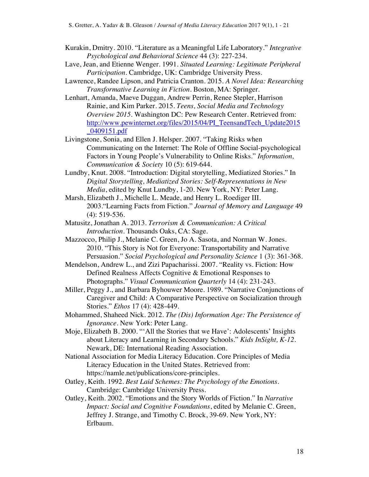- Kurakin, Dmitry. 2010. "Literature as a Meaningful Life Laboratory." *Integrative Psychological and Behavioral Science* 44 (3): 227-234.
- Lave, Jean, and Etienne Wenger. 1991. *Situated Learning: Legitimate Peripheral Participation*. Cambridge, UK: Cambridge University Press.
- Lawrence, Randee Lipson, and Patricia Cranton. 2015. *A Novel Idea: Researching Transformative Learning in Fiction*. Boston, MA: Springer.
- Lenhart, Amanda, Maeve Duggan, Andrew Perrin, Renee Stepler, Harrison Rainie, and Kim Parker. 2015. *Teens, Social Media and Technology Overview 2015*. Washington DC: Pew Research Center. Retrieved from: http://www.pewinternet.org/files/2015/04/PI\_TeensandTech\_Update2015 \_0409151.pdf
- Livingstone, Sonia, and Ellen J. Helsper. 2007. "Taking Risks when Communicating on the Internet: The Role of Offline Social-psychological Factors in Young People's Vulnerability to Online Risks." *Information, Communication & Society* 10 (5): 619-644.
- Lundby, Knut. 2008. "Introduction: Digital storytelling, Mediatized Stories." In *D*i*gital Storytelling, Mediatized Stories: Self-Representations in New Media*, edited by Knut Lundby, 1-20. New York, NY: Peter Lang.
- Marsh, Elizabeth J., Michelle L. Meade, and Henry L. Roediger III. 2003."Learning Facts from Fiction." *Journal of Memory and Language* 49 (4): 519-536.
- Matusitz, Jonathan A. 2013. *Terrorism & Communication: A Critical Introduction*. Thousands Oaks, CA: Sage.
- Mazzocco, Philip J., Melanie C. Green, Jo A. Sasota, and Norman W. Jones. 2010. "This Story is Not for Everyone: Transportability and Narrative Persuasion." *Social Psychological and Personality Science* 1 (3): 361-368.
- Mendelson, Andrew L., and Zizi Papacharissi. 2007. "Reality vs. Fiction: How Defined Realness Affects Cognitive & Emotional Responses to Photographs." *Visual Communication Quarterly* 14 (4): 231-243.
- Miller, Peggy J., and Barbara Byhouwer Moore. 1989. "Narrative Conjunctions of Caregiver and Child: A Comparative Perspective on Socialization through Stories." *Ethos* 17 (4): 428-449.
- Mohammed, Shaheed Nick. 2012. *The (Dis) Information Age: The Persistence of Ignorance.* New York: Peter Lang.
- Moje, Elizabeth B. 2000. "'All the Stories that we Have': Adolescents' Insights about Literacy and Learning in Secondary Schools." *Kids InSight, K-12*. Newark, DE: International Reading Association.
- National Association for Media Literacy Education. Core Principles of Media Literacy Education in the United States. Retrieved from: https://namle.net/publications/core-principles.
- Oatley, Keith. 1992. *Best Laid Schemes: The Psychology of the Emotions*. Cambridge: Cambridge University Press.
- Oatley, Keith. 2002. "Emotions and the Story Worlds of Fiction." In *Narrative Impact: Social and Cognitive Foundations*, edited by Melanie C. Green, Jeffrey J. Strange, and Timothy C. Brock, 39-69. New York, NY: Erlbaum.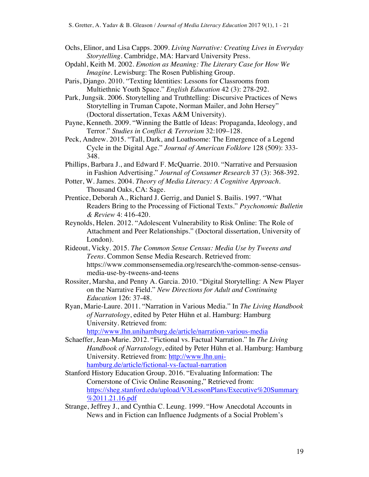- Ochs, Elinor, and Lisa Capps. 2009. *Living Narrative: Creating Lives in Everyday Storytelling*. Cambridge, MA: Harvard University Press.
- Opdahl, Keith M. 2002. *Emotion as Meaning: The Literary Case for How We Imagine*. Lewisburg: The Rosen Publishing Group.
- Paris, Django. 2010. "Texting Identities: Lessons for Classrooms from Multiethnic Youth Space." *English Education* 42 (3): 278-292.
- Park, Jungsik. 2006. Storytelling and Truthtelling: Discursive Practices of News Storytelling in Truman Capote, Norman Mailer, and John Hersey" (Doctoral dissertation, Texas A&M University).
- Payne, Kenneth. 2009. "Winning the Battle of Ideas: Propaganda, Ideology, and Terror." *Studies in Conflict & Terrorism* 32:109–128.
- Peck, Andrew. 2015. "Tall, Dark, and Loathsome: The Emergence of a Legend Cycle in the Digital Age." *Journal of American Folklore* 128 (509): 333- 348.
- Phillips, Barbara J., and Edward F. McQuarrie. 2010. "Narrative and Persuasion in Fashion Advertising." *Journal of Consumer Research* 37 (3): 368-392.
- Potter, W. James. 2004. *Theory of Media Literacy: A Cognitive Approach*. Thousand Oaks, CA: Sage.
- Prentice, Deborah A., Richard J. Gerrig, and Daniel S. Bailis. 1997. "What Readers Bring to the Processing of Fictional Texts." *Psychonomic Bulletin & Review* 4: 416-420.
- Reynolds, Helen. 2012. "Adolescent Vulnerability to Risk Online: The Role of Attachment and Peer Relationships." (Doctoral dissertation, University of London).
- Rideout, Vicky. 2015. *The Common Sense Census: Media Use by Tweens and Teens.* Common Sense Media Research. Retrieved from: https://www.commonsensemedia.org/research/the-common-sense-censusmedia-use-by-tweens-and-teens
- Rossiter, Marsha, and Penny A. Garcia. 2010. "Digital Storytelling: A New Player on the Narrative Field." *New Directions for Adult and Continuing Education* 126: 37-48.
- Ryan, Marie-Laure. 2011. "Narration in Various Media." In *The Living Handbook of Narratology*, edited by Peter Hühn et al. Hamburg: Hamburg University. Retrieved from:

http://www.lhn.unihamburg.de/article/narration-various-media

- Schaeffer, Jean-Marie. 2012. "Fictional vs. Factual Narration." In *The Living Handbook of Narratology*, edited by Peter Hühn et al. Hamburg: Hamburg University. Retrieved from: http://www.lhn.unihamburg.de/article/fictional-vs-factual-narration
- Stanford History Education Group. 2016. "Evaluating Information: The Cornerstone of Civic Online Reasoning," Retrieved from: https://sheg.stanford.edu/upload/V3LessonPlans/Executive%20Summary %2011.21.16.pdf
- Strange, Jeffrey J., and Cynthia C. Leung. 1999. "How Anecdotal Accounts in News and in Fiction can Influence Judgments of a Social Problem's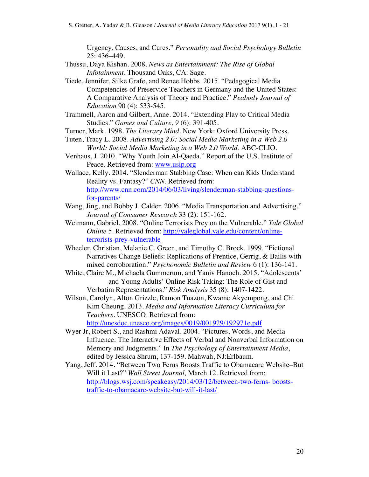Urgency, Causes, and Cures." *Personality and Social Psychology Bulletin* 25: 436–449.

- Thussu, Daya Kishan. 2008. *News as Entertainment: The Rise of Global Infotainment*. Thousand Oaks, CA: Sage.
- Tiede, Jennifer, Silke Grafe, and Renee Hobbs. 2015. "Pedagogical Media Competencies of Preservice Teachers in Germany and the United States: A Comparative Analysis of Theory and Practice." *Peabody Journal of Education* 90 (4): 533-545.
- Trammell, Aaron and Gilbert, Anne. 2014. "Extending Play to Critical Media Studies." *Games and Culture*, *9* (6): 391-405.
- Turner, Mark. 1998. *The Literary Mind.* New York: Oxford University Press.
- Tuten, Tracy L. 2008. *Advertising 2.0: Social Media Marketing in a Web 2.0 World: Social Media Marketing in a Web 2.0 World*. ABC-CLIO.
- Venhaus, J. 2010. "Why Youth Join Al-Qaeda." Report of the U.S. Institute of Peace. Retrieved from: www.usip.org
- Wallace, Kelly. 2014. "Slenderman Stabbing Case: When can Kids Understand Reality vs. Fantasy?" *CNN*. Retrieved from: http://www.cnn.com/2014/06/03/living/slenderman-stabbing-questionsfor-parents/
- Wang, Jing, and Bobby J. Calder. 2006. "Media Transportation and Advertising." *Journal of Consumer Research* 33 (2): 151-162.
- Weimann, Gabriel. 2008. "Online Terrorists Prey on the Vulnerable." *Yale Global Online* 5. Retrieved from: http://yaleglobal.yale.edu/content/onlineterrorists-prey-vulnerable
- Wheeler, Christian, Melanie C. Green, and Timothy C. Brock. 1999. "Fictional Narratives Change Beliefs: Replications of Prentice, Gerrig, & Bailis with mixed corroboration." *Psychonomic Bulletin and Review* 6 (1): 136-141.
- White, Claire M., Michaela Gummerum, and Yaniv Hanoch. 2015. "Adolescents' and Young Adults' Online Risk Taking: The Role of Gist and Verbatim Representations." *Risk Analysis* 35 (8): 1407-1422.
- Wilson, Carolyn, Alton Grizzle, Ramon Tuazon, Kwame Akyempong, and Chi Kim Cheung. 2013. *Media and Information Literacy Curriculum for Teachers*. UNESCO. Retrieved from: http://unesdoc.unesco.org/images/0019/001929/192971e.pdf
- Wyer Jr, Robert S., and Rashmi Adaval. 2004. "Pictures, Words, and Media Influence: The Interactive Effects of Verbal and Nonverbal Information on Memory and Judgments." In *The Psychology of Entertainment Media*, edited by Jessica Shrum, 137-159. Mahwah, NJ:Erlbaum.
- Yang, Jeff. 2014. "Between Two Ferns Boosts Traffic to Obamacare Website–But Will it Last?" *Wall Street Journal,* March 12. Retrieved from: http://blogs.wsj.com/speakeasy/2014/03/12/between-two-ferns- booststraffic-to-obamacare-website-but-will-it-last/